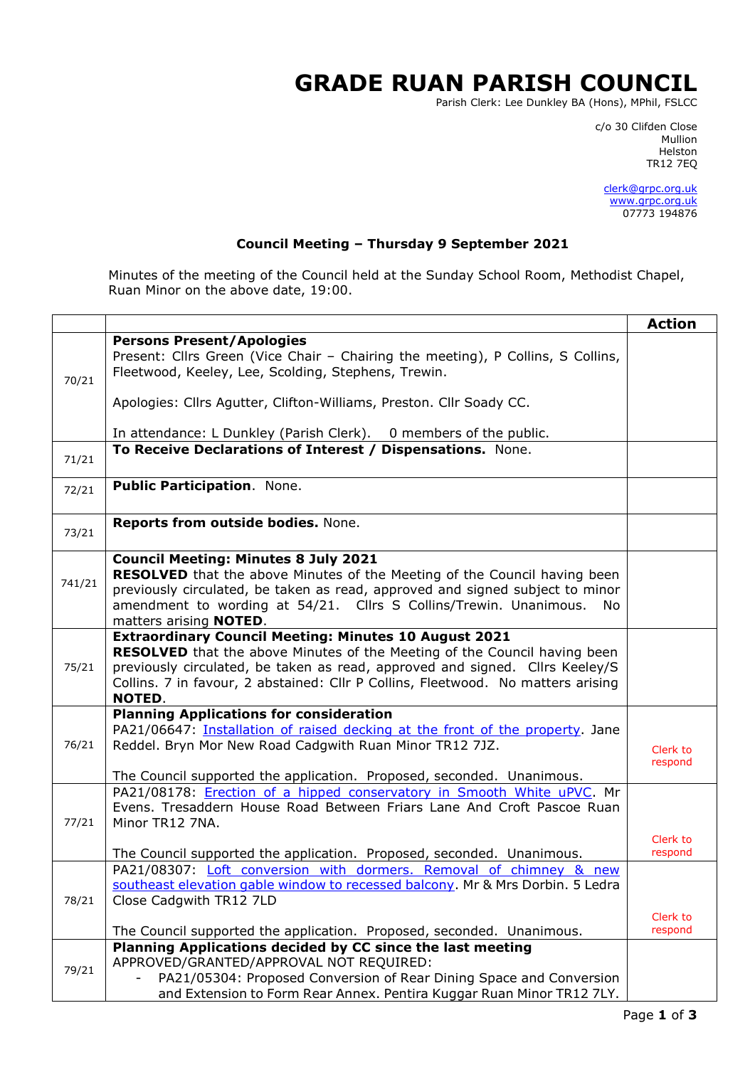## **GRADE RUAN PARISH COUNCIL**

Parish Clerk: Lee Dunkley BA (Hons), MPhil, FSLCC

c/o 30 Clifden Close man and the control of the control of the control of the control of the control of the control of the control o Helston TR12 7EQ

> [clerk@grpc.org.uk](mailto:clerk@grpc.org.uk) [www.grpc.org.uk](http://www.grpc.org.uk/) 07773 194876

## **Council Meeting – Thursday 9 September 2021**

Minutes of the meeting of the Council held at the Sunday School Room, Methodist Chapel, Ruan Minor on the above date, 19:00.

|        |                                                                                                                                                 | <b>Action</b> |
|--------|-------------------------------------------------------------------------------------------------------------------------------------------------|---------------|
|        | <b>Persons Present/Apologies</b>                                                                                                                |               |
|        | Present: Cllrs Green (Vice Chair - Chairing the meeting), P Collins, S Collins,                                                                 |               |
| 70/21  | Fleetwood, Keeley, Lee, Scolding, Stephens, Trewin.                                                                                             |               |
|        |                                                                                                                                                 |               |
|        | Apologies: Cllrs Agutter, Clifton-Williams, Preston. Cllr Soady CC.                                                                             |               |
|        |                                                                                                                                                 |               |
|        | In attendance: L Dunkley (Parish Clerk). 0 members of the public.                                                                               |               |
| 71/21  | To Receive Declarations of Interest / Dispensations. None.                                                                                      |               |
|        |                                                                                                                                                 |               |
| 72/21  | Public Participation. None.                                                                                                                     |               |
|        |                                                                                                                                                 |               |
|        | Reports from outside bodies. None.                                                                                                              |               |
| 73/21  |                                                                                                                                                 |               |
|        | <b>Council Meeting: Minutes 8 July 2021</b>                                                                                                     |               |
|        | RESOLVED that the above Minutes of the Meeting of the Council having been                                                                       |               |
| 741/21 | previously circulated, be taken as read, approved and signed subject to minor                                                                   |               |
|        | amendment to wording at 54/21. Cllrs S Collins/Trewin. Unanimous.<br>No.                                                                        |               |
|        | matters arising <b>NOTED</b> .                                                                                                                  |               |
|        | <b>Extraordinary Council Meeting: Minutes 10 August 2021</b>                                                                                    |               |
|        | <b>RESOLVED</b> that the above Minutes of the Meeting of the Council having been                                                                |               |
| 75/21  | previously circulated, be taken as read, approved and signed. Cllrs Keeley/S                                                                    |               |
|        | Collins. 7 in favour, 2 abstained: Cllr P Collins, Fleetwood. No matters arising                                                                |               |
|        | <b>NOTED.</b>                                                                                                                                   |               |
|        | <b>Planning Applications for consideration</b>                                                                                                  |               |
|        | PA21/06647: Installation of raised decking at the front of the property. Jane                                                                   |               |
| 76/21  | Reddel. Bryn Mor New Road Cadgwith Ruan Minor TR12 7JZ.                                                                                         | Clerk to      |
|        |                                                                                                                                                 | respond       |
|        | The Council supported the application. Proposed, seconded. Unanimous.<br>PA21/08178: Erection of a hipped conservatory in Smooth White uPVC. Mr |               |
|        | Evens. Tresaddern House Road Between Friars Lane And Croft Pascoe Ruan                                                                          |               |
| 77/21  | Minor TR12 7NA.                                                                                                                                 |               |
|        |                                                                                                                                                 | Clerk to      |
|        | The Council supported the application. Proposed, seconded. Unanimous.                                                                           | respond       |
|        | PA21/08307: Loft conversion with dormers. Removal of chimney & new                                                                              |               |
|        | southeast elevation gable window to recessed balcony. Mr & Mrs Dorbin. 5 Ledra                                                                  |               |
| 78/21  | Close Cadgwith TR12 7LD                                                                                                                         |               |
|        |                                                                                                                                                 | Clerk to      |
|        | The Council supported the application. Proposed, seconded. Unanimous.                                                                           | respond       |
|        | Planning Applications decided by CC since the last meeting                                                                                      |               |
| 79/21  | APPROVED/GRANTED/APPROVAL NOT REQUIRED:                                                                                                         |               |
|        | PA21/05304: Proposed Conversion of Rear Dining Space and Conversion                                                                             |               |
|        | and Extension to Form Rear Annex. Pentira Kuggar Ruan Minor TR12 7LY.                                                                           |               |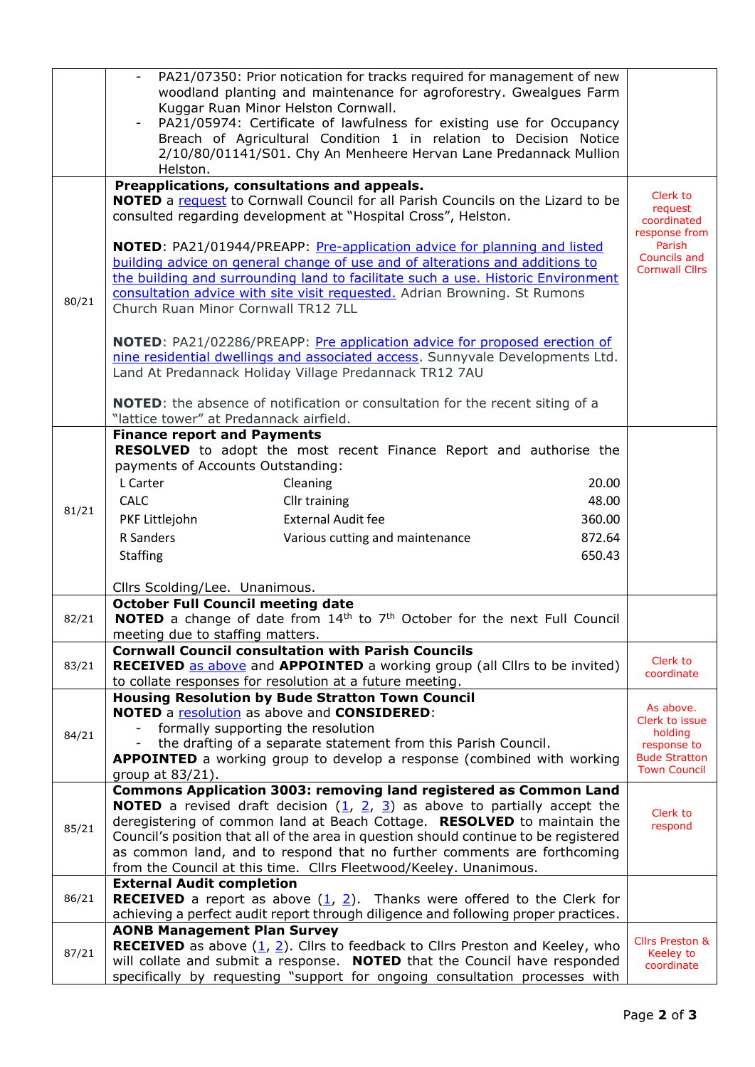|       | PA21/07350: Prior notication for tracks required for management of new<br>woodland planting and maintenance for agroforestry. Gwealgues Farm                                                                         |                                         |
|-------|----------------------------------------------------------------------------------------------------------------------------------------------------------------------------------------------------------------------|-----------------------------------------|
|       | Kuggar Ruan Minor Helston Cornwall.<br>PA21/05974: Certificate of lawfulness for existing use for Occupancy<br>Breach of Agricultural Condition 1 in relation to Decision Notice                                     |                                         |
|       | 2/10/80/01141/S01. Chy An Menheere Hervan Lane Predannack Mullion<br>Helston.                                                                                                                                        |                                         |
|       | Preapplications, consultations and appeals.                                                                                                                                                                          | Clerk to                                |
|       | <b>NOTED</b> a request to Cornwall Council for all Parish Councils on the Lizard to be<br>consulted regarding development at "Hospital Cross", Helston.                                                              | request<br>coordinated<br>response from |
|       | NOTED: PA21/01944/PREAPP: Pre-application advice for planning and listed                                                                                                                                             | Parish                                  |
|       | building advice on general change of use and of alterations and additions to                                                                                                                                         | Councils and<br><b>Cornwall Cllrs</b>   |
|       | the building and surrounding land to facilitate such a use. Historic Environment<br>consultation advice with site visit requested. Adrian Browning. St Rumons                                                        |                                         |
| 80/21 | Church Ruan Minor Cornwall TR12 7LL                                                                                                                                                                                  |                                         |
|       | NOTED: PA21/02286/PREAPP: Pre application advice for proposed erection of<br>nine residential dwellings and associated access. Sunnyvale Developments Ltd.<br>Land At Predannack Holiday Village Predannack TR12 7AU |                                         |
|       | <b>NOTED:</b> the absence of notification or consultation for the recent siting of a<br>"lattice tower" at Predannack airfield.                                                                                      |                                         |
|       | <b>Finance report and Payments</b>                                                                                                                                                                                   |                                         |
|       | RESOLVED to adopt the most recent Finance Report and authorise the<br>payments of Accounts Outstanding:                                                                                                              |                                         |
|       | L Carter<br>Cleaning<br>20.00                                                                                                                                                                                        |                                         |
| 81/21 | 48.00<br><b>CALC</b><br>Cllr training                                                                                                                                                                                |                                         |
|       | <b>External Audit fee</b><br>PKF Littlejohn<br>360.00                                                                                                                                                                |                                         |
|       | R Sanders<br>Various cutting and maintenance<br>872.64                                                                                                                                                               |                                         |
|       | <b>Staffing</b><br>650.43                                                                                                                                                                                            |                                         |
|       | Cllrs Scolding/Lee. Unanimous.                                                                                                                                                                                       |                                         |
|       | <b>October Full Council meeting date</b>                                                                                                                                                                             |                                         |
| 82/21 | NOTED a change of date from 14 <sup>th</sup> to 7 <sup>th</sup> October for the next Full Council<br>meeting due to staffing matters.                                                                                |                                         |
| 83/21 | <b>Cornwall Council consultation with Parish Councils</b><br><b>RECEIVED</b> as above and <b>APPOINTED</b> a working group (all Cllrs to be invited)<br>to collate responses for resolution at a future meeting.     | Clerk to<br>coordinate                  |
|       | <b>Housing Resolution by Bude Stratton Town Council</b>                                                                                                                                                              |                                         |
|       | NOTED a resolution as above and CONSIDERED:                                                                                                                                                                          | As above.<br>Clerk to issue             |
| 84/21 | formally supporting the resolution                                                                                                                                                                                   | holding                                 |
|       | the drafting of a separate statement from this Parish Council.                                                                                                                                                       | response to<br><b>Bude Stratton</b>     |
|       | <b>APPOINTED</b> a working group to develop a response (combined with working<br>group at 83/21).                                                                                                                    | <b>Town Council</b>                     |
|       | Commons Application 3003: removing land registered as Common Land                                                                                                                                                    |                                         |
|       | <b>NOTED</b> a revised draft decision $(1, 2, 3)$ as above to partially accept the                                                                                                                                   | Clerk to                                |
| 85/21 | deregistering of common land at Beach Cottage. RESOLVED to maintain the                                                                                                                                              | respond                                 |
|       | Council's position that all of the area in question should continue to be registered                                                                                                                                 |                                         |
|       | as common land, and to respond that no further comments are forthcoming<br>from the Council at this time. Cllrs Fleetwood/Keeley. Unanimous.                                                                         |                                         |
|       | <b>External Audit completion</b>                                                                                                                                                                                     |                                         |
| 86/21 | <b>RECEIVED</b> a report as above $(1, 2)$ . Thanks were offered to the Clerk for                                                                                                                                    |                                         |
|       | achieving a perfect audit report through diligence and following proper practices.                                                                                                                                   |                                         |
| 87/21 | <b>AONB Management Plan Survey</b>                                                                                                                                                                                   | <b>Cllrs Preston &amp;</b>              |
|       | <b>RECEIVED</b> as above $(\underline{1}, \underline{2})$ . Cllrs to feedback to Cllrs Preston and Keeley, who<br>will collate and submit a response. NOTED that the Council have responded                          | Keeley to                               |
|       | specifically by requesting "support for ongoing consultation processes with                                                                                                                                          | coordinate                              |